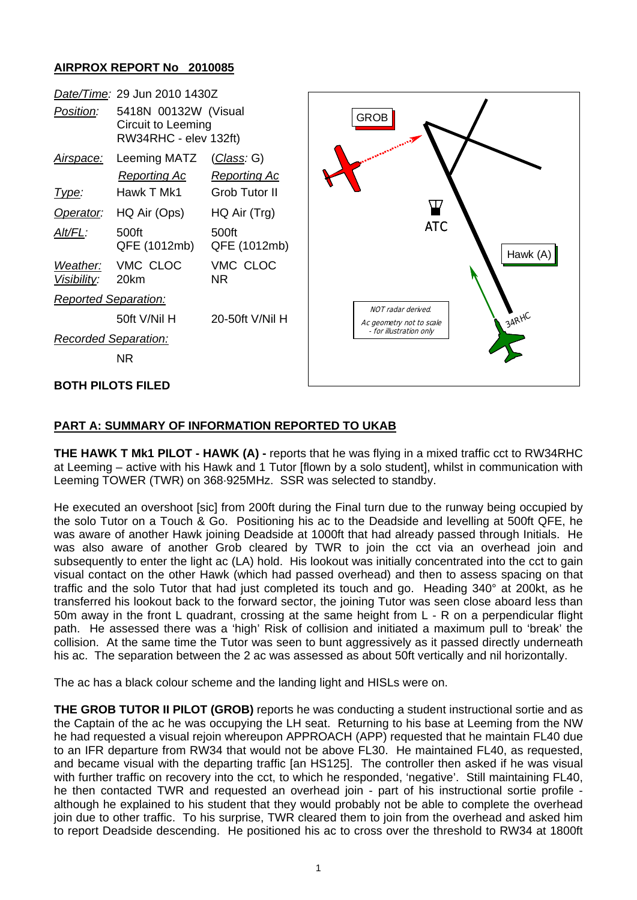## **AIRPROX REPORT No 2010085**

| Date/Time: 29 Jun 2010 1430Z |                                                                     |                                           |                                                            |
|------------------------------|---------------------------------------------------------------------|-------------------------------------------|------------------------------------------------------------|
| Position:                    | 5418N 00132W (Visual<br>Circuit to Leeming<br>RW34RHC - elev 132ft) |                                           | <b>GROB</b>                                                |
| Airspace:                    | Leeming MATZ<br><b>Reporting Ac</b>                                 | ( <i>Class:</i> G)<br><b>Reporting Ac</b> | Ж<br><b>ATC</b><br>Hawk (A)                                |
| Type:                        | Hawk T Mk1                                                          | Grob Tutor II                             |                                                            |
| Operator:                    | HQ Air (Ops)                                                        | HQ Air (Trg)                              |                                                            |
| $Alt/FL$ :                   | 500ft<br>QFE (1012mb)                                               | 500ft<br>QFE (1012mb)                     |                                                            |
| Weather:<br>Visibility:      | VMC CLOC<br>20km                                                    | VMC CLOC<br>NR.                           |                                                            |
| <b>Reported Separation:</b>  |                                                                     |                                           |                                                            |
|                              | 50ft V/Nil H                                                        | 20-50ft V/Nil H                           | NOT radar derived.<br>$34RH^C$<br>Ac geometry not to scale |
| <b>Recorded Separation:</b>  |                                                                     |                                           | - for illustration only                                    |
|                              | NR.                                                                 |                                           |                                                            |
| <b>BOTH PILOTS FILED</b>     |                                                                     |                                           |                                                            |

## **PART A: SUMMARY OF INFORMATION REPORTED TO UKAB**

**THE HAWK T Mk1 PILOT - HAWK (A) -** reports that he was flying in a mixed traffic cct to RW34RHC at Leeming – active with his Hawk and 1 Tutor [flown by a solo student], whilst in communication with Leeming TOWER (TWR) on 368·925MHz. SSR was selected to standby.

He executed an overshoot [sic] from 200ft during the Final turn due to the runway being occupied by the solo Tutor on a Touch & Go. Positioning his ac to the Deadside and levelling at 500ft QFE, he was aware of another Hawk joining Deadside at 1000ft that had already passed through Initials. He was also aware of another Grob cleared by TWR to join the cct via an overhead join and subsequently to enter the light ac (LA) hold. His lookout was initially concentrated into the cct to gain visual contact on the other Hawk (which had passed overhead) and then to assess spacing on that traffic and the solo Tutor that had just completed its touch and go. Heading 340° at 200kt, as he transferred his lookout back to the forward sector, the joining Tutor was seen close aboard less than 50m away in the front L quadrant, crossing at the same height from L - R on a perpendicular flight path. He assessed there was a 'high' Risk of collision and initiated a maximum pull to 'break' the collision. At the same time the Tutor was seen to bunt aggressively as it passed directly underneath his ac. The separation between the 2 ac was assessed as about 50ft vertically and nil horizontally.

The ac has a black colour scheme and the landing light and HISLs were on.

**THE GROB TUTOR II PILOT (GROB)** reports he was conducting a student instructional sortie and as the Captain of the ac he was occupying the LH seat. Returning to his base at Leeming from the NW he had requested a visual rejoin whereupon APPROACH (APP) requested that he maintain FL40 due to an IFR departure from RW34 that would not be above FL30. He maintained FL40, as requested, and became visual with the departing traffic [an HS125]. The controller then asked if he was visual with further traffic on recovery into the cct, to which he responded, 'negative'. Still maintaining FL40, he then contacted TWR and requested an overhead join - part of his instructional sortie profile although he explained to his student that they would probably not be able to complete the overhead join due to other traffic. To his surprise, TWR cleared them to join from the overhead and asked him to report Deadside descending. He positioned his ac to cross over the threshold to RW34 at 1800ft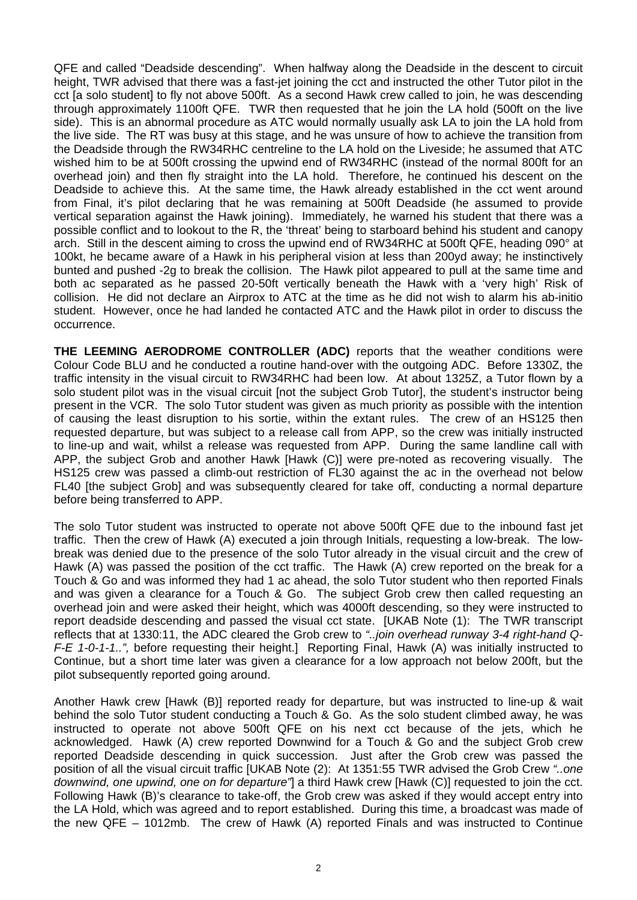QFE and called "Deadside descending". When halfway along the Deadside in the descent to circuit height, TWR advised that there was a fast-jet joining the cct and instructed the other Tutor pilot in the cct [a solo student] to fly not above 500ft. As a second Hawk crew called to join, he was descending through approximately 1100ft QFE. TWR then requested that he join the LA hold (500ft on the live side). This is an abnormal procedure as ATC would normally usually ask LA to join the LA hold from the live side. The RT was busy at this stage, and he was unsure of how to achieve the transition from the Deadside through the RW34RHC centreline to the LA hold on the Liveside; he assumed that ATC wished him to be at 500ft crossing the upwind end of RW34RHC (instead of the normal 800ft for an overhead join) and then fly straight into the LA hold. Therefore, he continued his descent on the Deadside to achieve this. At the same time, the Hawk already established in the cct went around from Final, it's pilot declaring that he was remaining at 500ft Deadside (he assumed to provide vertical separation against the Hawk joining). Immediately, he warned his student that there was a possible conflict and to lookout to the R, the 'threat' being to starboard behind his student and canopy arch. Still in the descent aiming to cross the upwind end of RW34RHC at 500ft QFE, heading 090° at 100kt, he became aware of a Hawk in his peripheral vision at less than 200yd away; he instinctively bunted and pushed -2g to break the collision. The Hawk pilot appeared to pull at the same time and both ac separated as he passed 20-50ft vertically beneath the Hawk with a 'very high' Risk of collision. He did not declare an Airprox to ATC at the time as he did not wish to alarm his ab-initio student. However, once he had landed he contacted ATC and the Hawk pilot in order to discuss the occurrence.

**THE LEEMING AERODROME CONTROLLER (ADC)** reports that the weather conditions were Colour Code BLU and he conducted a routine hand-over with the outgoing ADC. Before 1330Z, the traffic intensity in the visual circuit to RW34RHC had been low. At about 1325Z, a Tutor flown by a solo student pilot was in the visual circuit [not the subject Grob Tutor], the student's instructor being present in the VCR. The solo Tutor student was given as much priority as possible with the intention of causing the least disruption to his sortie, within the extant rules. The crew of an HS125 then requested departure, but was subject to a release call from APP, so the crew was initially instructed to line-up and wait, whilst a release was requested from APP. During the same landline call with APP, the subject Grob and another Hawk [Hawk (C)] were pre-noted as recovering visually. The HS125 crew was passed a climb-out restriction of FL30 against the ac in the overhead not below FL40 [the subject Grob] and was subsequently cleared for take off, conducting a normal departure before being transferred to APP.

The solo Tutor student was instructed to operate not above 500ft QFE due to the inbound fast jet traffic. Then the crew of Hawk (A) executed a join through Initials, requesting a low-break. The lowbreak was denied due to the presence of the solo Tutor already in the visual circuit and the crew of Hawk (A) was passed the position of the cct traffic. The Hawk (A) crew reported on the break for a Touch & Go and was informed they had 1 ac ahead, the solo Tutor student who then reported Finals and was given a clearance for a Touch & Go. The subject Grob crew then called requesting an overhead join and were asked their height, which was 4000ft descending, so they were instructed to report deadside descending and passed the visual cct state. [UKAB Note (1): The TWR transcript reflects that at 1330:11, the ADC cleared the Grob crew to *"..join overhead runway 3-4 right-hand Q-F-E 1-0-1-1..",* before requesting their height.] Reporting Final, Hawk (A) was initially instructed to Continue, but a short time later was given a clearance for a low approach not below 200ft, but the pilot subsequently reported going around.

Another Hawk crew [Hawk (B)] reported ready for departure, but was instructed to line-up & wait behind the solo Tutor student conducting a Touch & Go. As the solo student climbed away, he was instructed to operate not above 500ft QFE on his next cct because of the jets, which he acknowledged. Hawk (A) crew reported Downwind for a Touch & Go and the subject Grob crew reported Deadside descending in quick succession. Just after the Grob crew was passed the position of all the visual circuit traffic [UKAB Note (2): At 1351:55 TWR advised the Grob Crew *"..one downwind, one upwind, one on for departure"*] a third Hawk crew [Hawk (C)] requested to join the cct. Following Hawk (B)'s clearance to take-off, the Grob crew was asked if they would accept entry into the LA Hold, which was agreed and to report established. During this time, a broadcast was made of the new QFE – 1012mb. The crew of Hawk (A) reported Finals and was instructed to Continue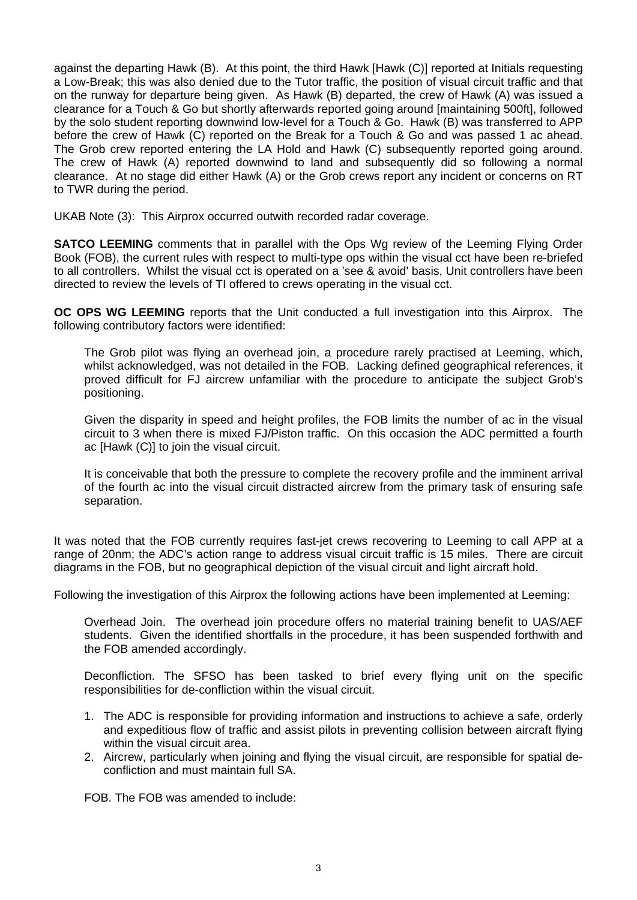against the departing Hawk (B). At this point, the third Hawk [Hawk (C)] reported at Initials requesting a Low-Break; this was also denied due to the Tutor traffic, the position of visual circuit traffic and that on the runway for departure being given. As Hawk (B) departed, the crew of Hawk (A) was issued a clearance for a Touch & Go but shortly afterwards reported going around [maintaining 500ft], followed by the solo student reporting downwind low-level for a Touch & Go. Hawk (B) was transferred to APP before the crew of Hawk (C) reported on the Break for a Touch & Go and was passed 1 ac ahead. The Grob crew reported entering the LA Hold and Hawk (C) subsequently reported going around. The crew of Hawk (A) reported downwind to land and subsequently did so following a normal clearance. At no stage did either Hawk (A) or the Grob crews report any incident or concerns on RT to TWR during the period.

UKAB Note (3): This Airprox occurred outwith recorded radar coverage.

**SATCO LEEMING** comments that in parallel with the Ops Wg review of the Leeming Flying Order Book (FOB), the current rules with respect to multi-type ops within the visual cct have been re-briefed to all controllers. Whilst the visual cct is operated on a 'see & avoid' basis, Unit controllers have been directed to review the levels of TI offered to crews operating in the visual cct.

**OC OPS WG LEEMING** reports that the Unit conducted a full investigation into this Airprox. The following contributory factors were identified:

The Grob pilot was flying an overhead join, a procedure rarely practised at Leeming, which, whilst acknowledged, was not detailed in the FOB. Lacking defined geographical references, it proved difficult for FJ aircrew unfamiliar with the procedure to anticipate the subject Grob's positioning.

Given the disparity in speed and height profiles, the FOB limits the number of ac in the visual circuit to 3 when there is mixed FJ/Piston traffic. On this occasion the ADC permitted a fourth ac [Hawk (C)] to join the visual circuit.

It is conceivable that both the pressure to complete the recovery profile and the imminent arrival of the fourth ac into the visual circuit distracted aircrew from the primary task of ensuring safe separation.

It was noted that the FOB currently requires fast-jet crews recovering to Leeming to call APP at a range of 20nm; the ADC's action range to address visual circuit traffic is 15 miles. There are circuit diagrams in the FOB, but no geographical depiction of the visual circuit and light aircraft hold.

Following the investigation of this Airprox the following actions have been implemented at Leeming:

Overhead Join. The overhead join procedure offers no material training benefit to UAS/AEF students. Given the identified shortfalls in the procedure, it has been suspended forthwith and the FOB amended accordingly.

Deconfliction. The SFSO has been tasked to brief every flying unit on the specific responsibilities for de-confliction within the visual circuit.

- 1. The ADC is responsible for providing information and instructions to achieve a safe, orderly and expeditious flow of traffic and assist pilots in preventing collision between aircraft flying within the visual circuit area.
- 2. Aircrew, particularly when joining and flying the visual circuit, are responsible for spatial deconfliction and must maintain full SA.

FOB. The FOB was amended to include: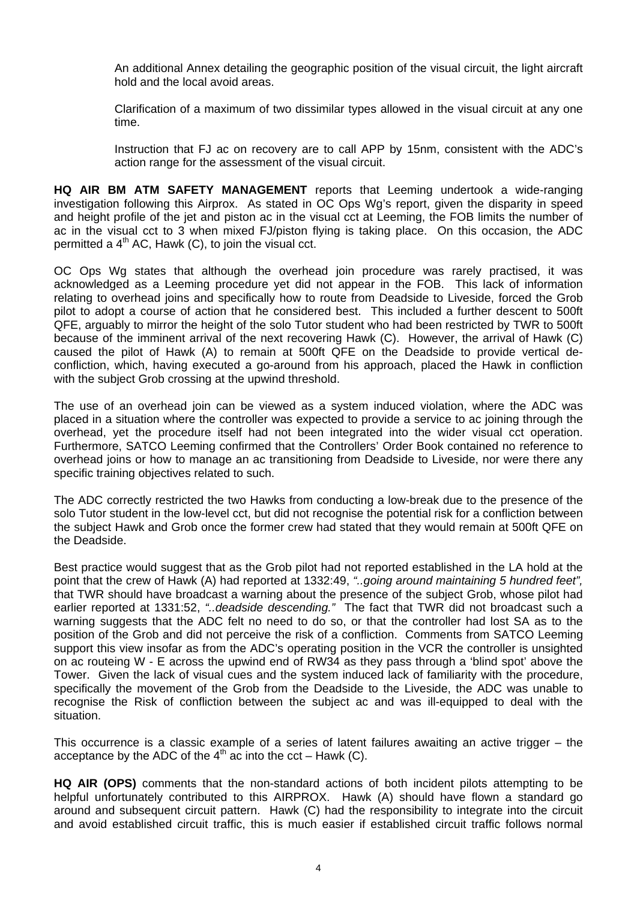An additional Annex detailing the geographic position of the visual circuit, the light aircraft hold and the local avoid areas.

Clarification of a maximum of two dissimilar types allowed in the visual circuit at any one time.

Instruction that FJ ac on recovery are to call APP by 15nm, consistent with the ADC's action range for the assessment of the visual circuit.

**HQ AIR BM ATM SAFETY MANAGEMENT** reports that Leeming undertook a wide-ranging investigation following this Airprox. As stated in OC Ops Wg's report, given the disparity in speed and height profile of the jet and piston ac in the visual cct at Leeming, the FOB limits the number of ac in the visual cct to 3 when mixed FJ/piston flying is taking place. On this occasion, the ADC permitted a  $4<sup>th</sup>$  AC, Hawk (C), to join the visual cct.

OC Ops Wg states that although the overhead join procedure was rarely practised, it was acknowledged as a Leeming procedure yet did not appear in the FOB. This lack of information relating to overhead joins and specifically how to route from Deadside to Liveside, forced the Grob pilot to adopt a course of action that he considered best. This included a further descent to 500ft QFE, arguably to mirror the height of the solo Tutor student who had been restricted by TWR to 500ft because of the imminent arrival of the next recovering Hawk (C). However, the arrival of Hawk (C) caused the pilot of Hawk (A) to remain at 500ft QFE on the Deadside to provide vertical deconfliction, which, having executed a go-around from his approach, placed the Hawk in confliction with the subject Grob crossing at the upwind threshold.

The use of an overhead join can be viewed as a system induced violation, where the ADC was placed in a situation where the controller was expected to provide a service to ac joining through the overhead, yet the procedure itself had not been integrated into the wider visual cct operation. Furthermore, SATCO Leeming confirmed that the Controllers' Order Book contained no reference to overhead joins or how to manage an ac transitioning from Deadside to Liveside, nor were there any specific training objectives related to such.

The ADC correctly restricted the two Hawks from conducting a low-break due to the presence of the solo Tutor student in the low-level cct, but did not recognise the potential risk for a confliction between the subject Hawk and Grob once the former crew had stated that they would remain at 500ft QFE on the Deadside.

Best practice would suggest that as the Grob pilot had not reported established in the LA hold at the point that the crew of Hawk (A) had reported at 1332:49, *"..going around maintaining 5 hundred feet",*  that TWR should have broadcast a warning about the presence of the subject Grob, whose pilot had earlier reported at 1331:52, *"..deadside descending."* The fact that TWR did not broadcast such a warning suggests that the ADC felt no need to do so, or that the controller had lost SA as to the position of the Grob and did not perceive the risk of a confliction. Comments from SATCO Leeming support this view insofar as from the ADC's operating position in the VCR the controller is unsighted on ac routeing W - E across the upwind end of RW34 as they pass through a 'blind spot' above the Tower. Given the lack of visual cues and the system induced lack of familiarity with the procedure, specifically the movement of the Grob from the Deadside to the Liveside, the ADC was unable to recognise the Risk of confliction between the subject ac and was ill-equipped to deal with the situation.

This occurrence is a classic example of a series of latent failures awaiting an active trigger – the acceptance by the ADC of the  $4<sup>th</sup>$  ac into the cct – Hawk (C).

**HQ AIR (OPS)** comments that the non-standard actions of both incident pilots attempting to be helpful unfortunately contributed to this AIRPROX. Hawk (A) should have flown a standard go around and subsequent circuit pattern. Hawk (C) had the responsibility to integrate into the circuit and avoid established circuit traffic, this is much easier if established circuit traffic follows normal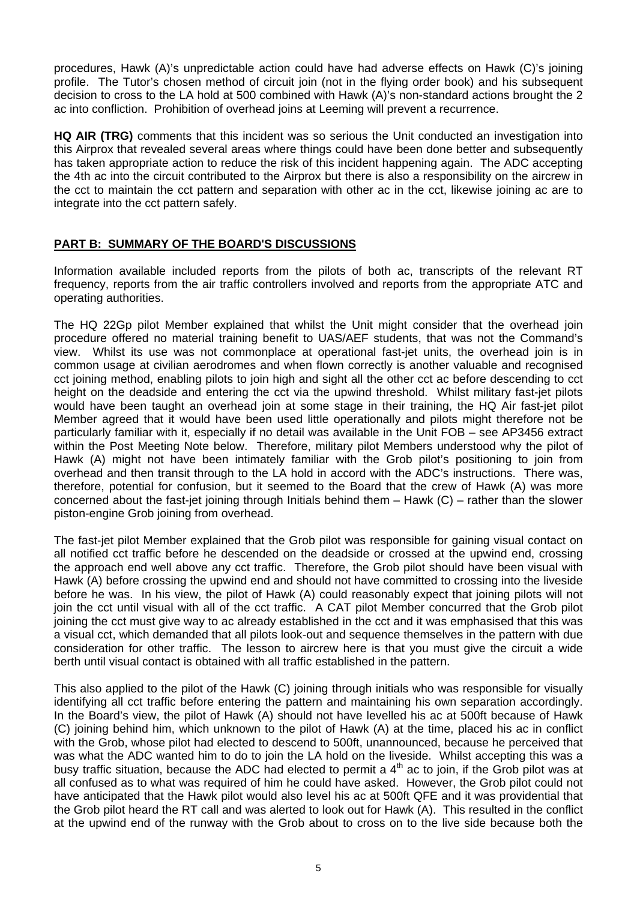procedures, Hawk (A)'s unpredictable action could have had adverse effects on Hawk (C)'s joining profile. The Tutor's chosen method of circuit join (not in the flying order book) and his subsequent decision to cross to the LA hold at 500 combined with Hawk (A)'s non-standard actions brought the 2 ac into confliction. Prohibition of overhead joins at Leeming will prevent a recurrence.

**HQ AIR (TRG)** comments that this incident was so serious the Unit conducted an investigation into this Airprox that revealed several areas where things could have been done better and subsequently has taken appropriate action to reduce the risk of this incident happening again. The ADC accepting the 4th ac into the circuit contributed to the Airprox but there is also a responsibility on the aircrew in the cct to maintain the cct pattern and separation with other ac in the cct, likewise joining ac are to integrate into the cct pattern safely.

## **PART B: SUMMARY OF THE BOARD'S DISCUSSIONS**

Information available included reports from the pilots of both ac, transcripts of the relevant RT frequency, reports from the air traffic controllers involved and reports from the appropriate ATC and operating authorities.

The HQ 22Gp pilot Member explained that whilst the Unit might consider that the overhead join procedure offered no material training benefit to UAS/AEF students, that was not the Command's view. Whilst its use was not commonplace at operational fast-jet units, the overhead join is in common usage at civilian aerodromes and when flown correctly is another valuable and recognised cct joining method, enabling pilots to join high and sight all the other cct ac before descending to cct height on the deadside and entering the cct via the upwind threshold. Whilst military fast-jet pilots would have been taught an overhead join at some stage in their training, the HQ Air fast-jet pilot Member agreed that it would have been used little operationally and pilots might therefore not be particularly familiar with it, especially if no detail was available in the Unit FOB – see AP3456 extract within the Post Meeting Note below. Therefore, military pilot Members understood why the pilot of Hawk (A) might not have been intimately familiar with the Grob pilot's positioning to join from overhead and then transit through to the LA hold in accord with the ADC's instructions. There was, therefore, potential for confusion, but it seemed to the Board that the crew of Hawk (A) was more concerned about the fast-jet joining through Initials behind them – Hawk (C) – rather than the slower piston-engine Grob joining from overhead.

The fast-jet pilot Member explained that the Grob pilot was responsible for gaining visual contact on all notified cct traffic before he descended on the deadside or crossed at the upwind end, crossing the approach end well above any cct traffic. Therefore, the Grob pilot should have been visual with Hawk (A) before crossing the upwind end and should not have committed to crossing into the liveside before he was. In his view, the pilot of Hawk (A) could reasonably expect that joining pilots will not join the cct until visual with all of the cct traffic. A CAT pilot Member concurred that the Grob pilot joining the cct must give way to ac already established in the cct and it was emphasised that this was a visual cct, which demanded that all pilots look-out and sequence themselves in the pattern with due consideration for other traffic. The lesson to aircrew here is that you must give the circuit a wide berth until visual contact is obtained with all traffic established in the pattern.

This also applied to the pilot of the Hawk (C) joining through initials who was responsible for visually identifying all cct traffic before entering the pattern and maintaining his own separation accordingly. In the Board's view, the pilot of Hawk (A) should not have levelled his ac at 500ft because of Hawk (C) joining behind him, which unknown to the pilot of Hawk (A) at the time, placed his ac in conflict with the Grob, whose pilot had elected to descend to 500ft, unannounced, because he perceived that was what the ADC wanted him to do to join the LA hold on the liveside. Whilst accepting this was a busy traffic situation, because the ADC had elected to permit a 4<sup>th</sup> ac to join, if the Grob pilot was at all confused as to what was required of him he could have asked. However, the Grob pilot could not have anticipated that the Hawk pilot would also level his ac at 500ft QFE and it was providential that the Grob pilot heard the RT call and was alerted to look out for Hawk (A). This resulted in the conflict at the upwind end of the runway with the Grob about to cross on to the live side because both the